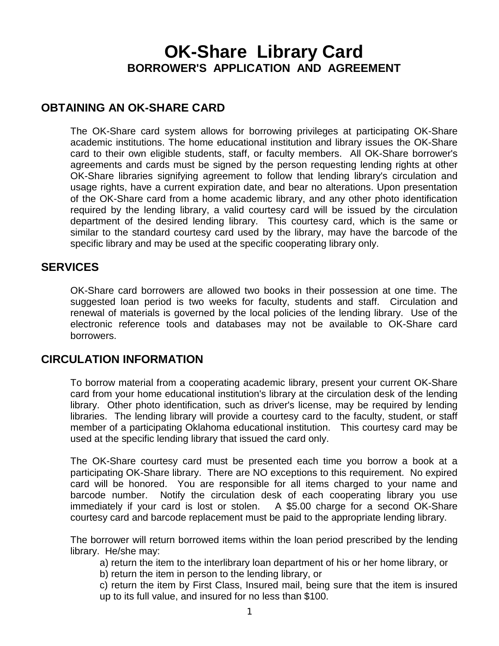# **OK-Share Library Card BORROWER'S APPLICATION AND AGREEMENT**

## **OBTAINING AN OK-SHARE CARD**

The OK-Share card system allows for borrowing privileges at participating OK-Share academic institutions. The home educational institution and library issues the OK-Share card to their own eligible students, staff, or faculty members. All OK-Share borrower's agreements and cards must be signed by the person requesting lending rights at other OK-Share libraries signifying agreement to follow that lending library's circulation and usage rights, have a current expiration date, and bear no alterations. Upon presentation of the OK-Share card from a home academic library, and any other photo identification required by the lending library, a valid courtesy card will be issued by the circulation department of the desired lending library. This courtesy card, which is the same or similar to the standard courtesy card used by the library, may have the barcode of the specific library and may be used at the specific cooperating library only.

#### **SERVICES**

OK-Share card borrowers are allowed two books in their possession at one time. The suggested loan period is two weeks for faculty, students and staff. Circulation and renewal of materials is governed by the local policies of the lending library. Use of the electronic reference tools and databases may not be available to OK-Share card borrowers.

## **CIRCULATION INFORMATION**

To borrow material from a cooperating academic library, present your current OK-Share card from your home educational institution's library at the circulation desk of the lending library. Other photo identification, such as driver's license, may be required by lending libraries. The lending library will provide a courtesy card to the faculty, student, or staff member of a participating Oklahoma educational institution. This courtesy card may be used at the specific lending library that issued the card only.

The OK-Share courtesy card must be presented each time you borrow a book at a participating OK-Share library. There are NO exceptions to this requirement. No expired card will be honored. You are responsible for all items charged to your name and barcode number. Notify the circulation desk of each cooperating library you use immediately if your card is lost or stolen. A \$5.00 charge for a second OK-Share courtesy card and barcode replacement must be paid to the appropriate lending library.

The borrower will return borrowed items within the loan period prescribed by the lending library. He/she may:

a) return the item to the interlibrary loan department of his or her home library, or

b) return the item in person to the lending library, or

c) return the item by First Class, Insured mail, being sure that the item is insured up to its full value, and insured for no less than \$100.